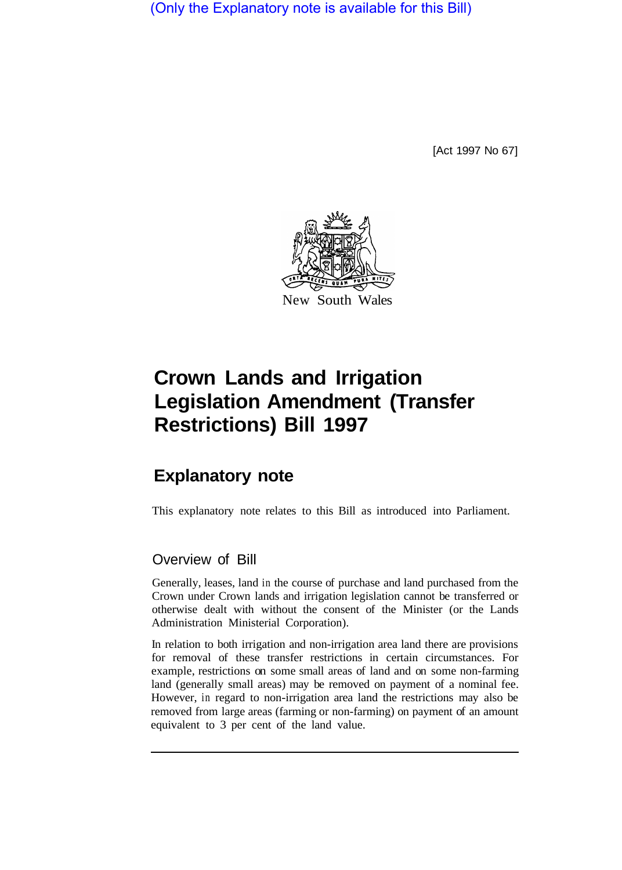(Only the Explanatory note is available for this Bill)

[Act 1997 No 67]



# **Crown Lands and Irrigation Legislation Amendment (Transfer Restrictions) Bill 1997**

# **Explanatory note**

This explanatory note relates to this Bill as introduced into Parliament.

# Overview of Bill

Generally, leases, land in the course of purchase and land purchased from the Crown under Crown lands and irrigation legislation cannot be transferred or otherwise dealt with without the consent of the Minister (or the Lands Administration Ministerial Corporation).

In relation to both irrigation and non-irrigation area land there are provisions for removal of these transfer restrictions in certain circumstances. For example, restrictions on some small areas of land and on some non-farming land (generally small areas) may be removed on payment of a nominal fee. However, in regard to non-irrigation area land the restrictions may also be removed from large areas (farming or non-farming) on payment of an amount equivalent to 3 per cent of the land value.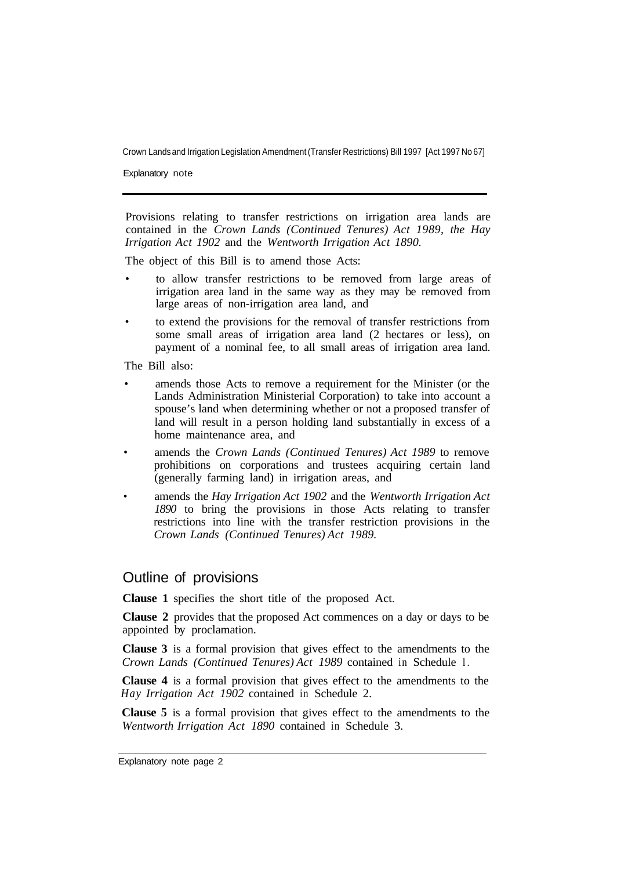Crown Lands and Irrigation Legislation Amendment (Transfer Restrictions) Bill 1997 [Act 1997 No 67]

Explanatory note

Provisions relating to transfer restrictions on irrigation area lands are contained in the *Crown Lands (Continued Tenures) Act 1989, the Hay Irrigation Act 1902* and the *Wentworth Irrigation Act 1890.* 

The object of this Bill is to amend those Acts:

- to allow transfer restrictions to be removed from large areas of irrigation area land in the same way as they may be removed from large areas of non-irrigation area land, and
- to extend the provisions for the removal of transfer restrictions from some small areas of irrigation area land (2 hectares or less), on payment of a nominal fee, to all small areas of irrigation area land.

The Bill also:

- amends those Acts to remove a requirement for the Minister (or the Lands Administration Ministerial Corporation) to take into account a spouse's land when determining whether or not a proposed transfer of land will result in a person holding land substantially in excess of a home maintenance area, and
- amends the *Crown Lands (Continued Tenures) Act 1989* to remove prohibitions on corporations and trustees acquiring certain land (generally farming land) in irrigation areas, and
- amends the *Hay Irrigation Act 1902* and the *Wentworth Irrigation Act 1890* to bring the provisions in those Acts relating to transfer restrictions into line with the transfer restriction provisions in the *Crown Lands (Continued Tenures) Act 1989.*

#### Outline of provisions

**Clause 1** specifies the short title of the proposed Act.

**Clause 2** provides that the proposed Act commences on a day or days to be appointed by proclamation.

**Clause 3** is a formal provision that gives effect to the amendments to the *Crown Lands (Continued Tenures) Act 1989* contained in Schedule l.

**Clause 4** is a formal provision that gives effect to the amendments to the *Hay Irrigation Act 1902* contained in Schedule 2.

**Clause 5** is a formal provision that gives effect to the amendments to the *Wentworth Irrigation Act 1890* contained in Schedule 3.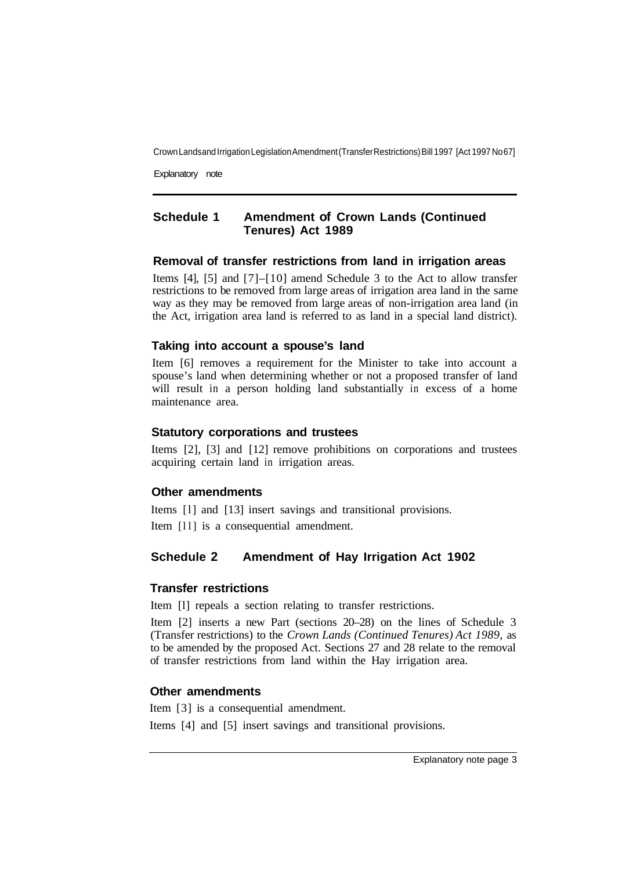Crown Lands and Irrigation Legislation Amendment (Transfer Restrictions) Bill 1997 [Act 1997 No 67]

Explanatory note

## **Schedule 1 Amendment of Crown Lands (Continued Tenures) Act 1989**

#### **Removal of transfer restrictions from land in irrigation areas**

Items [4], [5] and [7]–[10] amend Schedule 3 to the Act to allow transfer restrictions to be removed from large areas of irrigation area land in the same way as they may be removed from large areas of non-irrigation area land (in the Act, irrigation area land is referred to as land in a special land district).

#### **Taking into account a spouse's land**

Item [6] removes a requirement for the Minister to take into account a spouse's land when determining whether or not a proposed transfer of land will result in a person holding land substantially in excess of a home maintenance area.

#### **Statutory corporations and trustees**

Items [2], [3] and [12] remove prohibitions on corporations and trustees acquiring certain land in irrigation areas.

#### **Other amendments**

Items [l] and [13] insert savings and transitional provisions. Item [11] is a consequential amendment.

# **Schedule 2 Amendment of Hay Irrigation Act 1902**

#### **Transfer restrictions**

Item [l] repeals a section relating to transfer restrictions.

Item [2] inserts a new Part (sections 20–28) on the lines of Schedule 3 (Transfer restrictions) to the *Crown Lands (Continued Tenures) Act 1989,* as to be amended by the proposed Act. Sections 27 and 28 relate to the removal of transfer restrictions from land within the Hay irrigation area.

#### **Other amendments**

Item [3] is a consequential amendment.

Items [4] and [5] insert savings and transitional provisions.